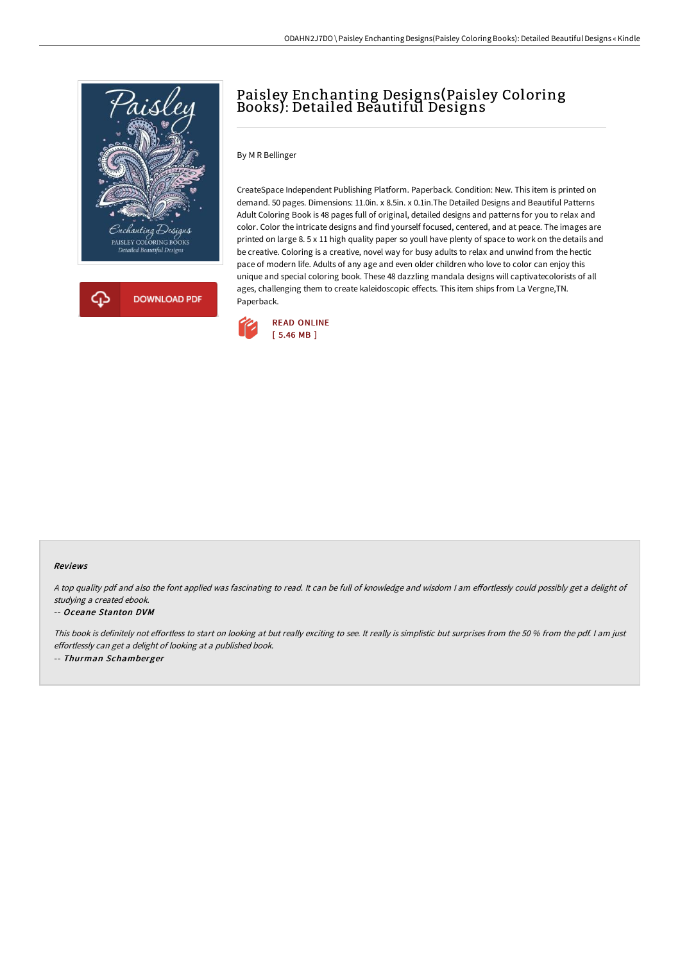

# Paisley Enchanting Designs(Paisley Coloring Books): Detailed Beautiful Designs

#### By M R Bellinger

CreateSpace Independent Publishing Platform. Paperback. Condition: New. This item is printed on demand. 50 pages. Dimensions: 11.0in. x 8.5in. x 0.1in.The Detailed Designs and Beautiful Patterns Adult Coloring Book is 48 pages full of original, detailed designs and patterns for you to relax and color. Color the intricate designs and find yourself focused, centered, and at peace. The images are printed on large 8. 5 x 11 high quality paper so youll have plenty of space to work on the details and be creative. Coloring is a creative, novel way for busy adults to relax and unwind from the hectic pace of modern life. Adults of any age and even older children who love to color can enjoy this unique and special coloring book. These 48 dazzling mandala designs will captivatecolorists of all ages, challenging them to create kaleidoscopic effects. This item ships from La Vergne,TN. Paperback.



#### Reviews

A top quality pdf and also the font applied was fascinating to read. It can be full of knowledge and wisdom I am effortlessly could possibly get a delight of studying <sup>a</sup> created ebook.

#### -- Oceane Stanton DVM

This book is definitely not effortless to start on looking at but really exciting to see. It really is simplistic but surprises from the 50 % from the pdf. I am just effortlessly can get <sup>a</sup> delight of looking at <sup>a</sup> published book. -- Thurman Schamberger